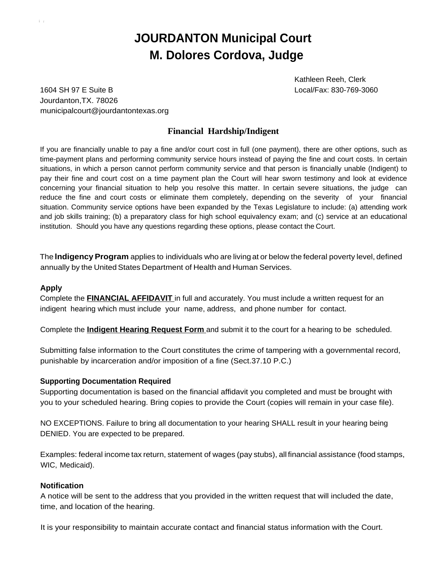# **JOURDANTON Municipal Court M. Dolores Cordova, Judge**

Kathleen Reeh, Clerk Local/Fax: 830-769-3060

1604 SH 97 E Suite B Jourdanton,TX. 78026 [municipalcourt@jourdantontexas.org](mailto:municipalcourt@jourdantontexas.org)

## **Financial Hardship/Indigent**

If you are financially unable to pay a fine and/or court cost in full (one payment), there are other options, such as time-payment plans and performing community service hours instead of paying the fine and court costs. In certain situations, in which a person cannot perform community service and that person is financially unable (Indigent) to pay their fine and court cost on a time payment plan the Court will hear sworn testimony and look at evidence concerning your financial situation to help you resolve this matter. In certain severe situations, the judge can reduce the fine and court costs or eliminate them completely, depending on the severity of your financial situation. Community service options have been expanded by the Texas Legislature to include: (a) attending work and job skills training; (b) a preparatory class for high school equivalency exam; and (c) service at an educational institution. Should you have any questions regarding these options, please contact the Court.

The **lndigency Program** applies to individuals who are living at or below the federal poverty level, defined annually by the United States Department of Health and Human Services.

## **Apply**

Complete the **FINANCIAL AFFIDAVIT** in full and accurately. You must include a written request for an indigent hearing which must include your name, address, and phone number for contact.

Complete the **Indigent Hearing Request Form** and submit it to the court for a hearing to be scheduled.

Submitting false information to the Court constitutes the crime of tampering with a governmental record, punishable by incarceration and/or imposition of a fine (Sect.37.10 P.C.)

## **Supporting Documentation Required**

Supporting documentation is based on the financial affidavit you completed and must be brought with you to your scheduled hearing. Bring copies to provide the Court (copies will remain in your case file).

NO EXCEPTIONS. Failure to bring all documentation to your hearing SHALL result in your hearing being DENIED. You are expected to be prepared.

Examples: federal income tax return, statement of wages (pay stubs), all financial assistance (food stamps, WIC, Medicaid).

### **Notification**

A notice will be sent to the address that you provided in the written request that will included the date, time, and location of the hearing.

It is your responsibility to maintain accurate contact and financial status information with the Court.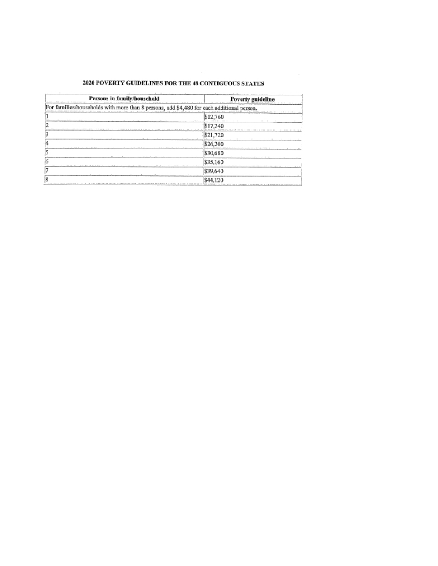#### 2020 POVERTY GUIDELINES FOR THE 48 CONTIGUOUS STATES

 $\sim$ 

| Persons in family/household<br><b>Persons in family/household</b>                                                                                | <b>Poverty guideline</b>                                                              |  |
|--------------------------------------------------------------------------------------------------------------------------------------------------|---------------------------------------------------------------------------------------|--|
| For families/households with more than 8 persons, add \$4,480 for each additional person.                                                        |                                                                                       |  |
| the contribution of the control of the control of the control of the control of the con-                                                         | \$12,760<br>the company of the company of the com-                                    |  |
| AND CONTRACTOR CONTRACTOR CONTRACTOR CONTRACTOR CONTRACTOR CONTRACTOR CONTRACTOR CONTRACTOR CONTRACTOR CONTRACTOR                                | \$17,240                                                                              |  |
| . .<br>the contract of the contract of the contract of the contract of the contract of the contract of the contract of                           | \$21,720                                                                              |  |
| the contract of the company of the contract of the contract of the contract of the contract of the                                               | \$26,200                                                                              |  |
|                                                                                                                                                  | \$30,680                                                                              |  |
| the most of the country of the country of the country of the                                                                                     | \$35,160<br>a secondo a ser any part of the service service dependent of the property |  |
|                                                                                                                                                  | \$39,640                                                                              |  |
| THE REPORTED AT REAL PROPERTY CONTINUES INTO A CONTINUES OF THE CONTINUES INTO A STATE OF A STRONG AND CONTINUES INTO A REPORT OF THE CONTINUES. |                                                                                       |  |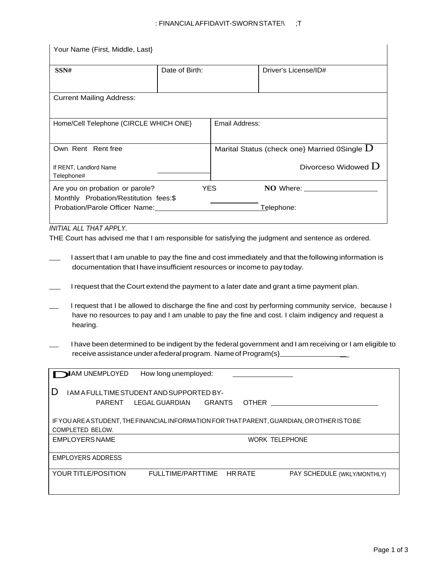#### : FINANCIALAFFIDAVIT-SWORNSTATE!\ ;T

| Your Name (First, Middle, Last)                                          |                |                |                                                |
|--------------------------------------------------------------------------|----------------|----------------|------------------------------------------------|
| SSN#                                                                     | Date of Birth: |                | Driver's License/ID#                           |
| <b>Current Mailing Address:</b>                                          |                |                |                                                |
| Home/Cell Telephone (CIRCLE WHICH ONE)                                   |                | Email Address: |                                                |
| Own Rent Rent free                                                       |                |                | Marital Status (check one) Married 0Single $D$ |
| If RENT, Landlord Name<br>Telephone#                                     |                |                | Divorceso Widowed $D$                          |
| Are you on probation or parole?<br>Monthly Probation/Restitution fees:\$ | <b>YES</b>     |                | <b>NO</b> Where:                               |
| Probation/Parole Officer Name:                                           |                |                | Telephone:                                     |

#### *INITIAL ALL THAT APPLY.*

THE Court has advised me that I am responsible for satisfying the judgment and sentence as ordered.

- I assert that I am unable to pay the fine and cost immediately and that the following information is documentation that I have insufficient resources or income to pay today.
- I request that the Court extend the payment to a later date and grant a time payment plan.
- I request that I be allowed to discharge the fine and cost by performing community service, because I have no resources to pay and I am unable to pay the fine and cost. I claim indigency and request a hearing.
- I have been determined to be indigent by the federal government and I am receiving or I am eligible to receive assistance under a federal program. Name of Program(s}\_

| <b>MAM UNEMPLOYED</b>    | How long unemployed:                      |                |                                                                                              |
|--------------------------|-------------------------------------------|----------------|----------------------------------------------------------------------------------------------|
| Ð                        | IAM A FULL TIME STUDENT AND SUPPORTED BY- |                |                                                                                              |
| PARENT                   | GRANTS<br>LEGAL GUARDIAN                  |                | <b>OTHER</b>                                                                                 |
| COMPLETED BELOW.         |                                           |                | IF YOU ARE A STUDENT, THE FINANCIAL INFORMATION FOR THAT PARENT, GUARDIAN, OR OTHER IS TO BE |
| <b>EMPLOYERS NAME</b>    |                                           |                | <b>WORK TELEPHONE</b>                                                                        |
| <b>EMPLOYERS ADDRESS</b> |                                           |                |                                                                                              |
| YOUR TITLE/POSITION      | FULLTIME/PARTTIME                         | <b>HR RATE</b> | PAY SCHEDULE (WKLY/MONTHLY)                                                                  |
|                          |                                           |                |                                                                                              |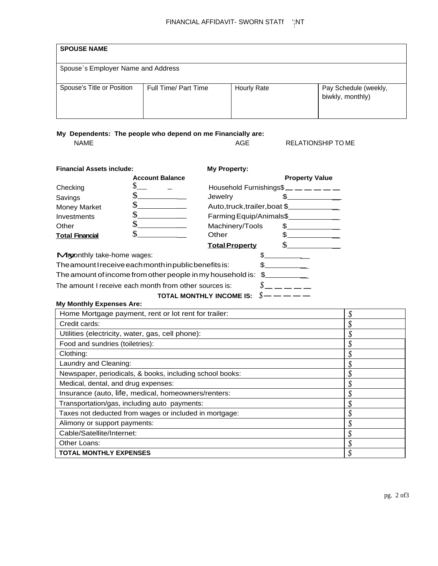| <b>SPOUSE NAME</b>                 |                      |                    |                                           |
|------------------------------------|----------------------|--------------------|-------------------------------------------|
| Spouse's Employer Name and Address |                      |                    |                                           |
| Spouse's Title or Position         | Full Time/ Part Time | <b>Hourly Rate</b> | Pay Schedule (weekly,<br>biwkly, monthly) |

My Dependents: The people who depend on me Financially are:

**NAME** 

AGE

**RELATIONSHIP TO ME** 

| <b>Financial Assets include:</b>                               |                        | <b>My Property:</b>                                        |                       |
|----------------------------------------------------------------|------------------------|------------------------------------------------------------|-----------------------|
|                                                                | <b>Account Balance</b> |                                                            | <b>Property Value</b> |
| Checking                                                       |                        | Household Furnishings $\underline{\hspace{1cm}}$ _ _ _ _ _ |                       |
| Savings                                                        |                        | Jewelry                                                    |                       |
| <b>Money Market</b>                                            |                        | Auto, truck, trailer, boat \$                              |                       |
| Investments                                                    | \$                     | Farming Equip/Animals\$                                    |                       |
| Other                                                          |                        | Machinery/Tools                                            |                       |
| <b>Total Financial</b>                                         |                        | Other                                                      |                       |
|                                                                |                        | <b>Total Property</b>                                      |                       |
| <b>Mronthly take-home wages:</b>                               |                        |                                                            |                       |
| The amount I receive each month in public benefits is:<br>\$.  |                        |                                                            |                       |
| The amount of income from other people in my household is: $$$ |                        |                                                            |                       |
| The amount I receive each month from other sources is:         |                        |                                                            |                       |

## TOTAL MONTHLY INCOME IS:  $\delta$  — — — — —

| <b>My Monthly Expenses Are:</b>                          |    |
|----------------------------------------------------------|----|
| Home Mortgage payment, rent or lot rent for trailer:     | ¢  |
| Credit cards:                                            |    |
| Utilities (electricity, water, gas, cell phone):         | ۵ι |
| Food and sundries (toiletries):                          |    |
| Clothing:                                                |    |
| Laundry and Cleaning:                                    | ۰Λ |
| Newspaper, periodicals, & books, including school books: |    |
| Medical, dental, and drug expenses:                      |    |
| Insurance (auto, life, medical, homeowners/renters:      |    |
| Transportation/gas, including auto payments:             |    |
| Taxes not deducted from wages or included in mortgage:   |    |
| Alimony or support payments:                             |    |
| Cable/Satellite/Internet:                                |    |
| Other Loans:                                             |    |
| <b>TOTAL MONTHLY EXPENSES</b>                            |    |